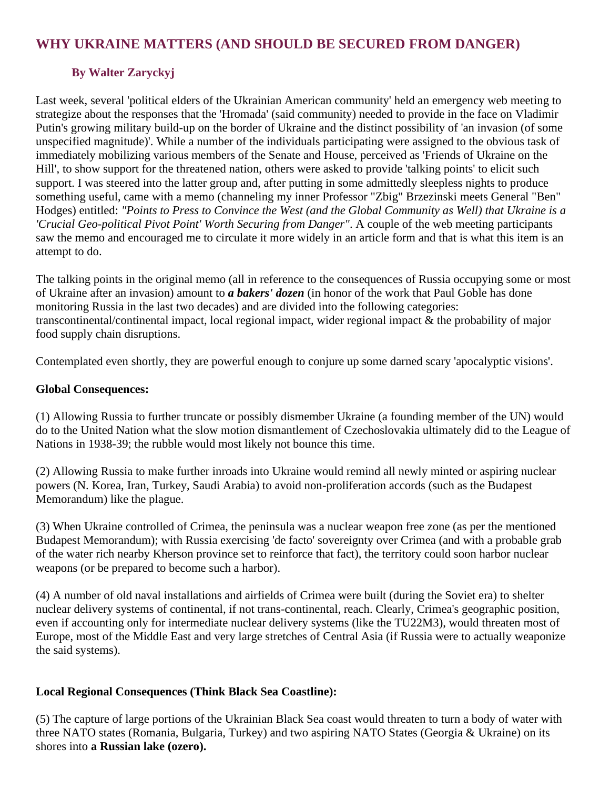# **WHY UKRAINE MATTERS (AND SHOULD BE SECURED FROM DANGER)**

## **By Walter Zaryckyj**

Last week, several 'political elders of the Ukrainian American community' held an emergency web meeting to strategize about the responses that the 'Hromada' (said community) needed to provide in the face on Vladimir Putin's growing military build-up on the border of Ukraine and the distinct possibility of 'an invasion (of some unspecified magnitude)'. While a number of the individuals participating were assigned to the obvious task of immediately mobilizing various members of the Senate and House, perceived as 'Friends of Ukraine on the Hill', to show support for the threatened nation, others were asked to provide 'talking points' to elicit such support. I was steered into the latter group and, after putting in some admittedly sleepless nights to produce something useful, came with a memo (channeling my inner Professor "Zbig" Brzezinski meets General "Ben" Hodges) entitled: *"Points to Press to Convince the West (and the Global Community as Well) that Ukraine is a 'Crucial Geo-political Pivot Point' Worth Securing from Danger"*. A couple of the web meeting participants saw the memo and encouraged me to circulate it more widely in an article form and that is what this item is an attempt to do.

The talking points in the original memo (all in reference to the consequences of Russia occupying some or most of Ukraine after an invasion) amount to *a bakers' dozen* (in honor of the work that Paul Goble has done monitoring Russia in the last two decades) and are divided into the following categories: transcontinental/continental impact, local regional impact, wider regional impact & the probability of major food supply chain disruptions.

Contemplated even shortly, they are powerful enough to conjure up some darned scary 'apocalyptic visions'.

#### **Global Consequences:**

(1) Allowing Russia to further truncate or possibly dismember Ukraine (a founding member of the UN) would do to the United Nation what the slow motion dismantlement of Czechoslovakia ultimately did to the League of Nations in 1938-39; the rubble would most likely not bounce this time.

(2) Allowing Russia to make further inroads into Ukraine would remind all newly minted or aspiring nuclear powers (N. Korea, Iran, Turkey, Saudi Arabia) to avoid non-proliferation accords (such as the Budapest Memorandum) like the plague.

(3) When Ukraine controlled of Crimea, the peninsula was a nuclear weapon free zone (as per the mentioned Budapest Memorandum); with Russia exercising 'de facto' sovereignty over Crimea (and with a probable grab of the water rich nearby Kherson province set to reinforce that fact), the territory could soon harbor nuclear weapons (or be prepared to become such a harbor).

(4) A number of old naval installations and airfields of Crimea were built (during the Soviet era) to shelter nuclear delivery systems of continental, if not trans-continental, reach. Clearly, Crimea's geographic position, even if accounting only for intermediate nuclear delivery systems (like the TU22M3), would threaten most of Europe, most of the Middle East and very large stretches of Central Asia (if Russia were to actually weaponize the said systems).

### **Local Regional Consequences (Think Black Sea Coastline):**

(5) The capture of large portions of the Ukrainian Black Sea coast would threaten to turn a body of water with three NATO states (Romania, Bulgaria, Turkey) and two aspiring NATO States (Georgia & Ukraine) on its shores into **a Russian lake (ozero).**